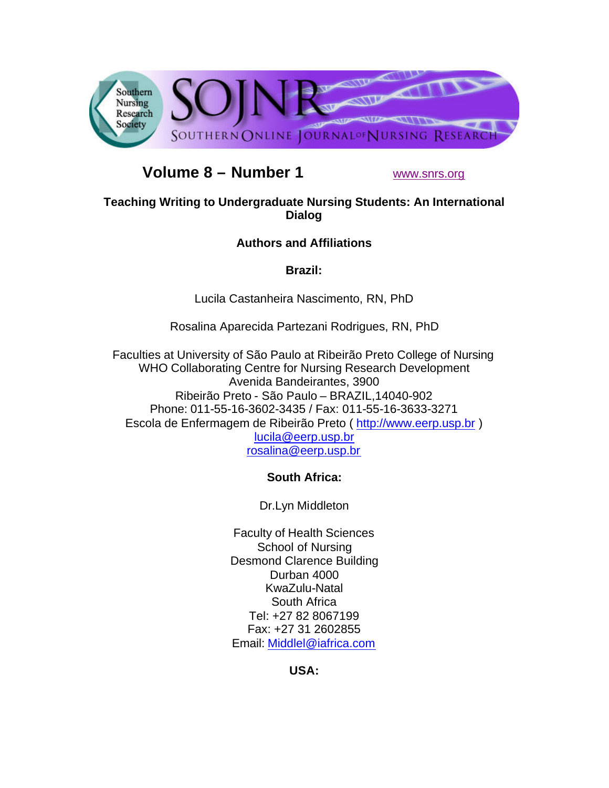

# **Volume 8 – Number 1** www.snrs.org

## **Teaching Writing to Undergraduate Nursing Students: An International Dialog**

## **Authors and Affiliations**

**Brazil:**

Lucila Castanheira Nascimento, RN, PhD

Rosalina Aparecida Partezani Rodrigues, RN, PhD

Faculties at University of São Paulo at Ribeirão Preto College of Nursing WHO Collaborating Centre for Nursing Research Development Avenida Bandeirantes, 3900 Ribeirão Preto - São Paulo – BRAZIL,14040-902 Phone: 011-55-16-3602-3435 / Fax: 011-55-16-3633-3271 Escola de Enfermagem de Ribeirão Preto ( http://www.eerp.usp.br ) lucila@eerp.usp.br rosalina@eerp.usp.br

# **South Africa:**

Dr.Lyn Middleton

Faculty of Health Sciences School of Nursing Desmond Clarence Building Durban 4000 KwaZulu-Natal South Africa Tel: +27 82 8067199 Fax: +27 31 2602855 Email: Middlel@iafrica.com

**USA:**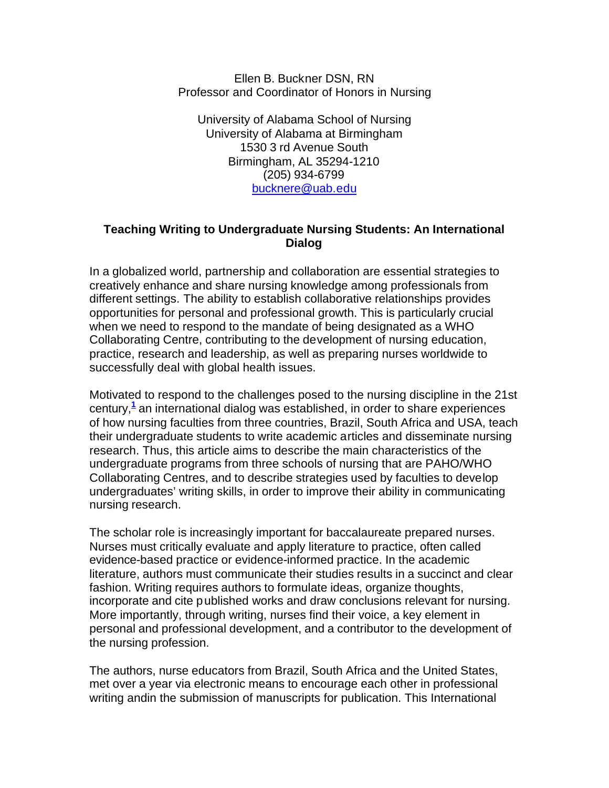Ellen B. Buckner DSN, RN Professor and Coordinator of Honors in Nursing

University of Alabama School of Nursing University of Alabama at Birmingham 1530 3 rd Avenue South Birmingham, AL 35294-1210 (205) 934-6799 bucknere@uab.edu

#### **Teaching Writing to Undergraduate Nursing Students: An International Dialog**

In a globalized world, partnership and collaboration are essential strategies to creatively enhance and share nursing knowledge among professionals from different settings. The ability to establish collaborative relationships provides opportunities for personal and professional growth. This is particularly crucial when we need to respond to the mandate of being designated as a WHO Collaborating Centre, contributing to the development of nursing education, practice, research and leadership, as well as preparing nurses worldwide to successfully deal with global health issues.

Motivated to respond to the challenges posed to the nursing discipline in the 21st century,**<sup>1</sup>** an international dialog was established, in order to share experiences of how nursing faculties from three countries, Brazil, South Africa and USA, teach their undergraduate students to write academic articles and disseminate nursing research. Thus, this article aims to describe the main characteristics of the undergraduate programs from three schools of nursing that are PAHO/WHO Collaborating Centres, and to describe strategies used by faculties to develop undergraduates' writing skills, in order to improve their ability in communicating nursing research.

The scholar role is increasingly important for baccalaureate prepared nurses. Nurses must critically evaluate and apply literature to practice, often called evidence-based practice or evidence-informed practice. In the academic literature, authors must communicate their studies results in a succinct and clear fashion. Writing requires authors to formulate ideas, organize thoughts, incorporate and cite published works and draw conclusions relevant for nursing. More importantly, through writing, nurses find their voice, a key element in personal and professional development, and a contributor to the development of the nursing profession.

The authors, nurse educators from Brazil, South Africa and the United States, met over a year via electronic means to encourage each other in professional writing andin the submission of manuscripts for publication. This International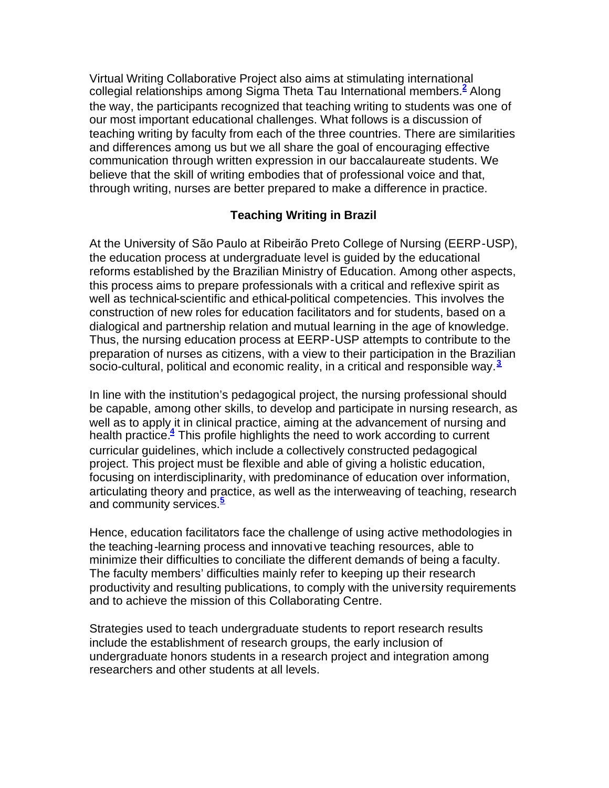Virtual Writing Collaborative Project also aims at stimulating international collegial relationships among Sigma Theta Tau International members.**<sup>2</sup>** Along the way, the participants recognized that teaching writing to students was one of our most important educational challenges. What follows is a discussion of teaching writing by faculty from each of the three countries. There are similarities and differences among us but we all share the goal of encouraging effective communication through written expression in our baccalaureate students. We believe that the skill of writing embodies that of professional voice and that, through writing, nurses are better prepared to make a difference in practice.

#### **Teaching Writing in Brazil**

At the University of São Paulo at Ribeirão Preto College of Nursing (EERP-USP), the education process at undergraduate level is guided by the educational reforms established by the Brazilian Ministry of Education. Among other aspects, this process aims to prepare professionals with a critical and reflexive spirit as well as technical-scientific and ethical-political competencies. This involves the construction of new roles for education facilitators and for students, based on a dialogical and partnership relation and mutual learning in the age of knowledge. Thus, the nursing education process at EERP-USP attempts to contribute to the preparation of nurses as citizens, with a view to their participation in the Brazilian socio-cultural, political and economic reality, in a critical and responsible way.**<sup>3</sup>**

In line with the institution's pedagogical project, the nursing professional should be capable, among other skills, to develop and participate in nursing research, as well as to apply it in clinical practice, aiming at the advancement of nursing and health practice.**<sup>4</sup>** This profile highlights the need to work according to current curricular guidelines, which include a collectively constructed pedagogical project. This project must be flexible and able of giving a holistic education, focusing on interdisciplinarity, with predominance of education over information, articulating theory and practice, as well as the interweaving of teaching, research and community services.**<sup>5</sup>**

Hence, education facilitators face the challenge of using active methodologies in the teaching-learning process and innovati ve teaching resources, able to minimize their difficulties to conciliate the different demands of being a faculty. The faculty members' difficulties mainly refer to keeping up their research productivity and resulting publications, to comply with the university requirements and to achieve the mission of this Collaborating Centre.

Strategies used to teach undergraduate students to report research results include the establishment of research groups, the early inclusion of undergraduate honors students in a research project and integration among researchers and other students at all levels.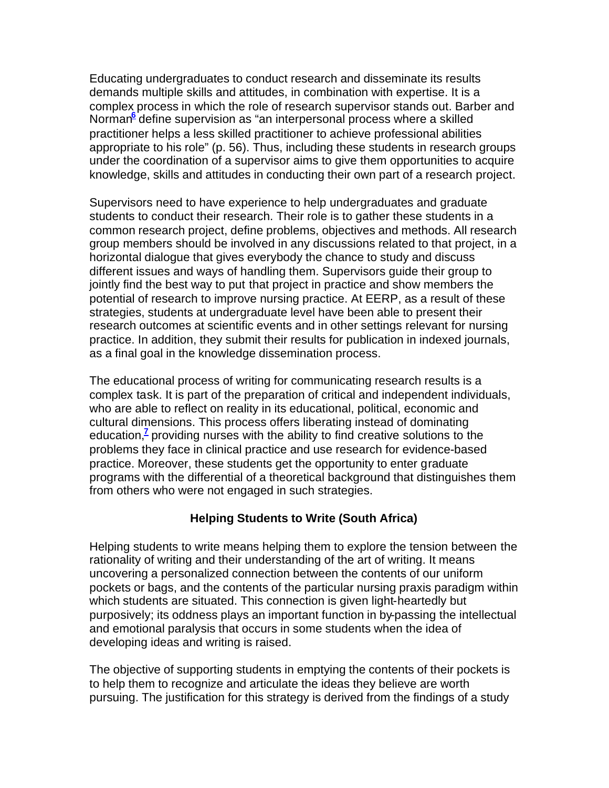Educating undergraduates to conduct research and disseminate its results demands multiple skills and attitudes, in combination with expertise. It is a complex process in which the role of research supervisor stands out. Barber and Norman<sup>e</sup> define supervision as "an interpersonal process where a skilled practitioner helps a less skilled practitioner to achieve professional abilities appropriate to his role" (p. 56). Thus, including these students in research groups under the coordination of a supervisor aims to give them opportunities to acquire knowledge, skills and attitudes in conducting their own part of a research project.

Supervisors need to have experience to help undergraduates and graduate students to conduct their research. Their role is to gather these students in a common research project, define problems, objectives and methods. All research group members should be involved in any discussions related to that project, in a horizontal dialogue that gives everybody the chance to study and discuss different issues and ways of handling them. Supervisors guide their group to jointly find the best way to put that project in practice and show members the potential of research to improve nursing practice. At EERP, as a result of these strategies, students at undergraduate level have been able to present their research outcomes at scientific events and in other settings relevant for nursing practice. In addition, they submit their results for publication in indexed journals, as a final goal in the knowledge dissemination process.

The educational process of writing for communicating research results is a complex task. It is part of the preparation of critical and independent individuals, who are able to reflect on reality in its educational, political, economic and cultural dimensions. This process offers liberating instead of dominating education,<sup>7</sup> providing nurses with the ability to find creative solutions to the problems they face in clinical practice and use research for evidence-based practice. Moreover, these students get the opportunity to enter graduate programs with the differential of a theoretical background that distinguishes them from others who were not engaged in such strategies.

#### **Helping Students to Write (South Africa)**

Helping students to write means helping them to explore the tension between the rationality of writing and their understanding of the art of writing. It means uncovering a personalized connection between the contents of our uniform pockets or bags, and the contents of the particular nursing praxis paradigm within which students are situated. This connection is given light-heartedly but purposively; its oddness plays an important function in by-passing the intellectual and emotional paralysis that occurs in some students when the idea of developing ideas and writing is raised.

The objective of supporting students in emptying the contents of their pockets is to help them to recognize and articulate the ideas they believe are worth pursuing. The justification for this strategy is derived from the findings of a study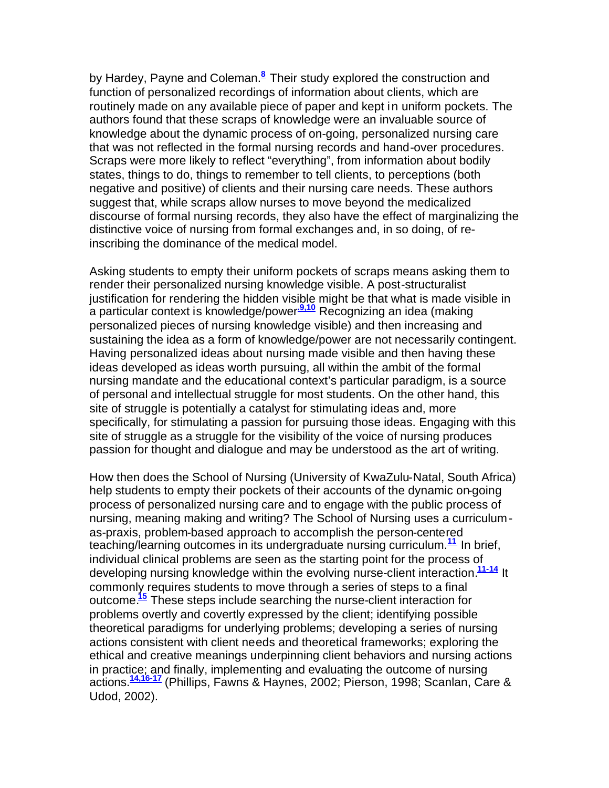by Hardey, Payne and Coleman.**<sup>8</sup>** Their study explored the construction and function of personalized recordings of information about clients, which are routinely made on any available piece of paper and kept in uniform pockets. The authors found that these scraps of knowledge were an invaluable source of knowledge about the dynamic process of on-going, personalized nursing care that was not reflected in the formal nursing records and hand-over procedures. Scraps were more likely to reflect "everything", from information about bodily states, things to do, things to remember to tell clients, to perceptions (both negative and positive) of clients and their nursing care needs. These authors suggest that, while scraps allow nurses to move beyond the medicalized discourse of formal nursing records, they also have the effect of marginalizing the distinctive voice of nursing from formal exchanges and, in so doing, of reinscribing the dominance of the medical model.

Asking students to empty their uniform pockets of scraps means asking them to render their personalized nursing knowledge visible. A post-structuralist justification for rendering the hidden visible might be that what is made visible in a particular context is knowledge/power**.9,10** Recognizing an idea (making personalized pieces of nursing knowledge visible) and then increasing and sustaining the idea as a form of knowledge/power are not necessarily contingent. Having personalized ideas about nursing made visible and then having these ideas developed as ideas worth pursuing, all within the ambit of the formal nursing mandate and the educational context's particular paradigm, is a source of personal and intellectual struggle for most students. On the other hand, this site of struggle is potentially a catalyst for stimulating ideas and, more specifically, for stimulating a passion for pursuing those ideas. Engaging with this site of struggle as a struggle for the visibility of the voice of nursing produces passion for thought and dialogue and may be understood as the art of writing.

How then does the School of Nursing (University of KwaZulu-Natal, South Africa) help students to empty their pockets of their accounts of the dynamic on-going process of personalized nursing care and to engage with the public process of nursing, meaning making and writing? The School of Nursing uses a curriculumas-praxis, problem-based approach to accomplish the person-centered teaching/learning outcomes in its undergraduate nursing curriculum.**<sup>11</sup>** In brief, individual clinical problems are seen as the starting point for the process of developing nursing knowledge within the evolving nurse-client interaction.**11-14** It commonly requires students to move through a series of steps to a final outcome.**<sup>15</sup>** These steps include searching the nurse-client interaction for problems overtly and covertly expressed by the client; identifying possible theoretical paradigms for underlying problems; developing a series of nursing actions consistent with client needs and theoretical frameworks; exploring the ethical and creative meanings underpinning client behaviors and nursing actions in practice; and finally, implementing and evaluating the outcome of nursing actions.**14,16-17** (Phillips, Fawns & Haynes, 2002; Pierson, 1998; Scanlan, Care & Udod, 2002).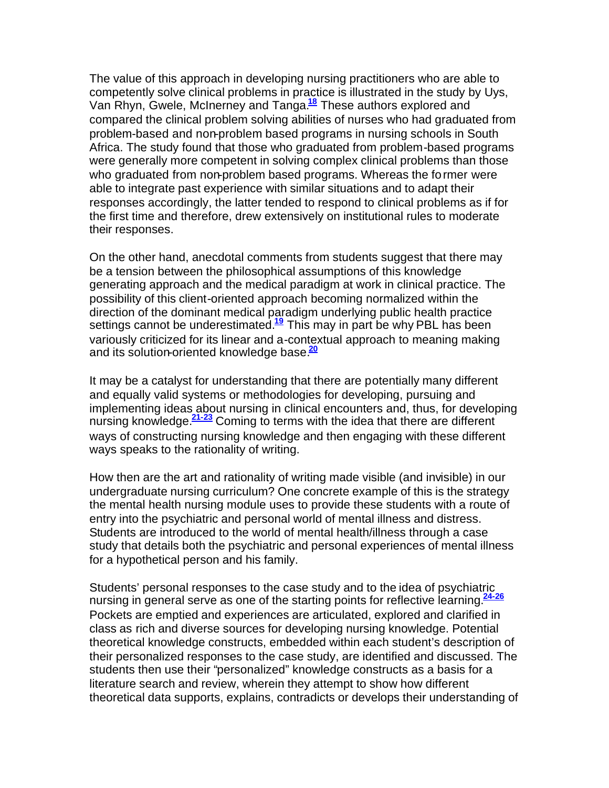The value of this approach in developing nursing practitioners who are able to competently solve clinical problems in practice is illustrated in the study by Uys, Van Rhyn, Gwele, McInerney and Tanga.**<sup>18</sup>** These authors explored and compared the clinical problem solving abilities of nurses who had graduated from problem-based and non-problem based programs in nursing schools in South Africa. The study found that those who graduated from problem-based programs were generally more competent in solving complex clinical problems than those who graduated from non-problem based programs. Whereas the former were able to integrate past experience with similar situations and to adapt their responses accordingly, the latter tended to respond to clinical problems as if for the first time and therefore, drew extensively on institutional rules to moderate their responses.

On the other hand, anecdotal comments from students suggest that there may be a tension between the philosophical assumptions of this knowledge generating approach and the medical paradigm at work in clinical practice. The possibility of this client-oriented approach becoming normalized within the direction of the dominant medical paradigm underlying public health practice settings cannot be underestimated.**<sup>19</sup>** This may in part be why PBL has been variously criticized for its linear and a-contextual approach to meaning making and its solution-oriented knowledge base.**<sup>20</sup>**

It may be a catalyst for understanding that there are potentially many different and equally valid systems or methodologies for developing, pursuing and implementing ideas about nursing in clinical encounters and, thus, for developing nursing knowledge.**21-23** Coming to terms with the idea that there are different ways of constructing nursing knowledge and then engaging with these different ways speaks to the rationality of writing.

How then are the art and rationality of writing made visible (and invisible) in our undergraduate nursing curriculum? One concrete example of this is the strategy the mental health nursing module uses to provide these students with a route of entry into the psychiatric and personal world of mental illness and distress. Students are introduced to the world of mental health/illness through a case study that details both the psychiatric and personal experiences of mental illness for a hypothetical person and his family.

Students' personal responses to the case study and to the idea of psychiatric nursing in general serve as one of the starting points for reflective learning.**24-26** Pockets are emptied and experiences are articulated, explored and clarified in class as rich and diverse sources for developing nursing knowledge. Potential theoretical knowledge constructs, embedded within each student's description of their personalized responses to the case study, are identified and discussed. The students then use their "personalized" knowledge constructs as a basis for a literature search and review, wherein they attempt to show how different theoretical data supports, explains, contradicts or develops their understanding of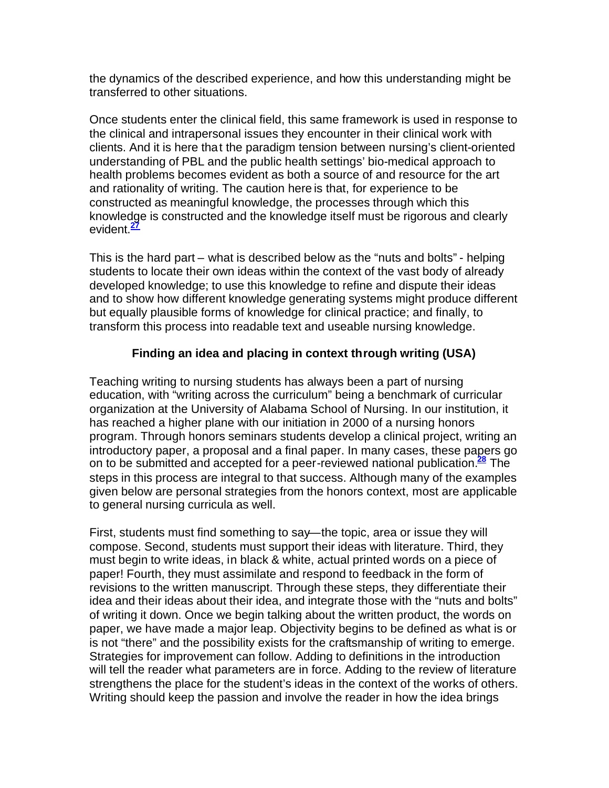the dynamics of the described experience, and how this understanding might be transferred to other situations.

Once students enter the clinical field, this same framework is used in response to the clinical and intrapersonal issues they encounter in their clinical work with clients. And it is here that the paradigm tension between nursing's client-oriented understanding of PBL and the public health settings' bio-medical approach to health problems becomes evident as both a source of and resource for the art and rationality of writing. The caution here is that, for experience to be constructed as meaningful knowledge, the processes through which this knowledge is constructed and the knowledge itself must be rigorous and clearly evident.**<sup>27</sup>**

This is the hard part – what is described below as the "nuts and bolts" - helping students to locate their own ideas within the context of the vast body of already developed knowledge; to use this knowledge to refine and dispute their ideas and to show how different knowledge generating systems might produce different but equally plausible forms of knowledge for clinical practice; and finally, to transform this process into readable text and useable nursing knowledge.

## **Finding an idea and placing in context through writing (USA)**

Teaching writing to nursing students has always been a part of nursing education, with "writing across the curriculum" being a benchmark of curricular organization at the University of Alabama School of Nursing. In our institution, it has reached a higher plane with our initiation in 2000 of a nursing honors program. Through honors seminars students develop a clinical project, writing an introductory paper, a proposal and a final paper. In many cases, these papers go on to be submitted and accepted for a peer-reviewed national publication.**<sup>28</sup>** The steps in this process are integral to that success. Although many of the examples given below are personal strategies from the honors context, most are applicable to general nursing curricula as well.

First, students must find something to say—the topic, area or issue they will compose. Second, students must support their ideas with literature. Third, they must begin to write ideas, in black & white, actual printed words on a piece of paper! Fourth, they must assimilate and respond to feedback in the form of revisions to the written manuscript. Through these steps, they differentiate their idea and their ideas about their idea, and integrate those with the "nuts and bolts" of writing it down. Once we begin talking about the written product, the words on paper, we have made a major leap. Objectivity begins to be defined as what is or is not "there" and the possibility exists for the craftsmanship of writing to emerge. Strategies for improvement can follow. Adding to definitions in the introduction will tell the reader what parameters are in force. Adding to the review of literature strengthens the place for the student's ideas in the context of the works of others. Writing should keep the passion and involve the reader in how the idea brings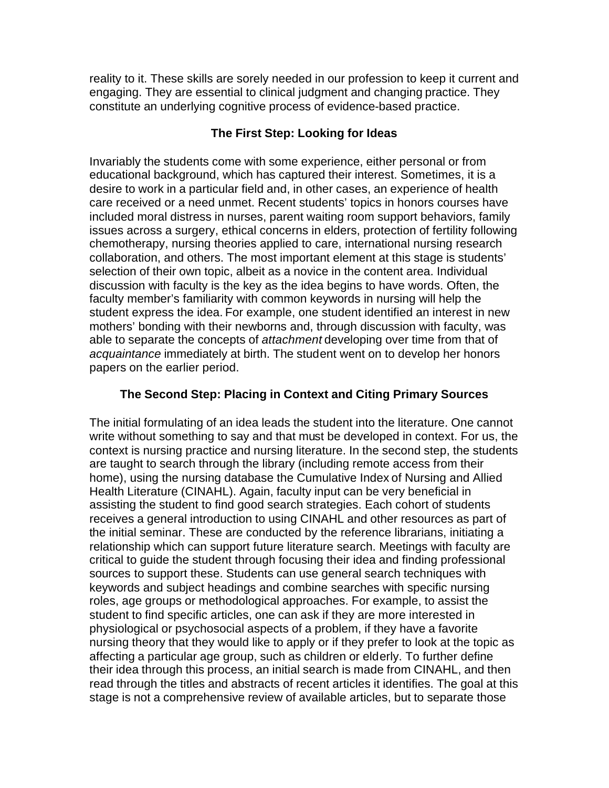reality to it. These skills are sorely needed in our profession to keep it current and engaging. They are essential to clinical judgment and changing practice. They constitute an underlying cognitive process of evidence-based practice.

#### **The First Step: Looking for Ideas**

Invariably the students come with some experience, either personal or from educational background, which has captured their interest. Sometimes, it is a desire to work in a particular field and, in other cases, an experience of health care received or a need unmet. Recent students' topics in honors courses have included moral distress in nurses, parent waiting room support behaviors, family issues across a surgery, ethical concerns in elders, protection of fertility following chemotherapy, nursing theories applied to care, international nursing research collaboration, and others. The most important element at this stage is students' selection of their own topic, albeit as a novice in the content area. Individual discussion with faculty is the key as the idea begins to have words. Often, the faculty member's familiarity with common keywords in nursing will help the student express the idea. For example, one student identified an interest in new mothers' bonding with their newborns and, through discussion with faculty, was able to separate the concepts of *attachment* developing over time from that of *acquaintance* immediately at birth. The student went on to develop her honors papers on the earlier period.

## **The Second Step: Placing in Context and Citing Primary Sources**

The initial formulating of an idea leads the student into the literature. One cannot write without something to say and that must be developed in context. For us, the context is nursing practice and nursing literature. In the second step, the students are taught to search through the library (including remote access from their home), using the nursing database the Cumulative Index of Nursing and Allied Health Literature (CINAHL). Again, faculty input can be very beneficial in assisting the student to find good search strategies. Each cohort of students receives a general introduction to using CINAHL and other resources as part of the initial seminar. These are conducted by the reference librarians, initiating a relationship which can support future literature search. Meetings with faculty are critical to guide the student through focusing their idea and finding professional sources to support these. Students can use general search techniques with keywords and subject headings and combine searches with specific nursing roles, age groups or methodological approaches. For example, to assist the student to find specific articles, one can ask if they are more interested in physiological or psychosocial aspects of a problem, if they have a favorite nursing theory that they would like to apply or if they prefer to look at the topic as affecting a particular age group, such as children or elderly. To further define their idea through this process, an initial search is made from CINAHL, and then read through the titles and abstracts of recent articles it identifies. The goal at this stage is not a comprehensive review of available articles, but to separate those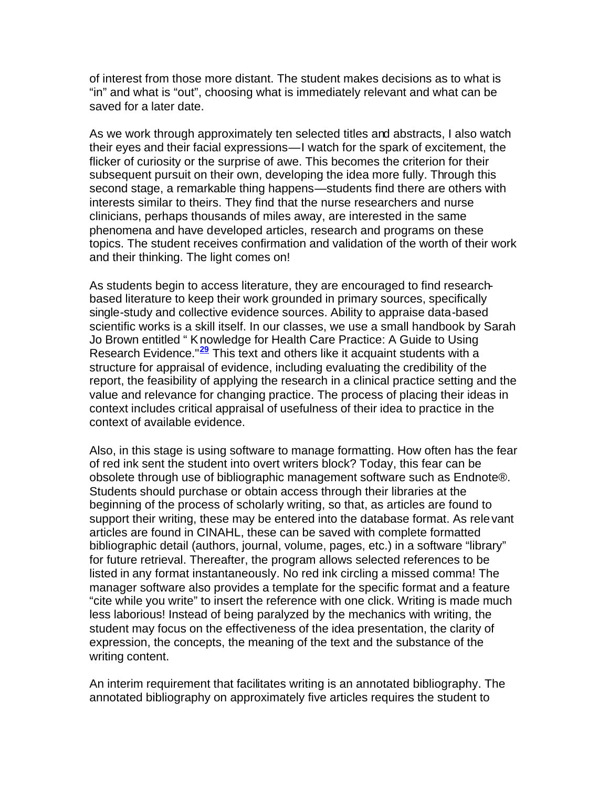of interest from those more distant. The student makes decisions as to what is "in" and what is "out", choosing what is immediately relevant and what can be saved for a later date.

As we work through approximately ten selected titles and abstracts, I also watch their eyes and their facial expressions—I watch for the spark of excitement, the flicker of curiosity or the surprise of awe. This becomes the criterion for their subsequent pursuit on their own, developing the idea more fully. Through this second stage, a remarkable thing happens—students find there are others with interests similar to theirs. They find that the nurse researchers and nurse clinicians, perhaps thousands of miles away, are interested in the same phenomena and have developed articles, research and programs on these topics. The student receives confirmation and validation of the worth of their work and their thinking. The light comes on!

As students begin to access literature, they are encouraged to find researchbased literature to keep their work grounded in primary sources, specifically single-study and collective evidence sources. Ability to appraise data-based scientific works is a skill itself. In our classes, we use a small handbook by Sarah Jo Brown entitled " Knowledge for Health Care Practice: A Guide to Using Research Evidence."**<sup>29</sup>** This text and others like it acquaint students with a structure for appraisal of evidence, including evaluating the credibility of the report, the feasibility of applying the research in a clinical practice setting and the value and relevance for changing practice. The process of placing their ideas in context includes critical appraisal of usefulness of their idea to practice in the context of available evidence.

Also, in this stage is using software to manage formatting. How often has the fear of red ink sent the student into overt writers block? Today, this fear can be obsolete through use of bibliographic management software such as Endnote®. Students should purchase or obtain access through their libraries at the beginning of the process of scholarly writing, so that, as articles are found to support their writing, these may be entered into the database format. As relevant articles are found in CINAHL, these can be saved with complete formatted bibliographic detail (authors, journal, volume, pages, etc.) in a software "library" for future retrieval. Thereafter, the program allows selected references to be listed in any format instantaneously. No red ink circling a missed comma! The manager software also provides a template for the specific format and a feature "cite while you write" to insert the reference with one click. Writing is made much less laborious! Instead of being paralyzed by the mechanics with writing, the student may focus on the effectiveness of the idea presentation, the clarity of expression, the concepts, the meaning of the text and the substance of the writing content.

An interim requirement that facilitates writing is an annotated bibliography. The annotated bibliography on approximately five articles requires the student to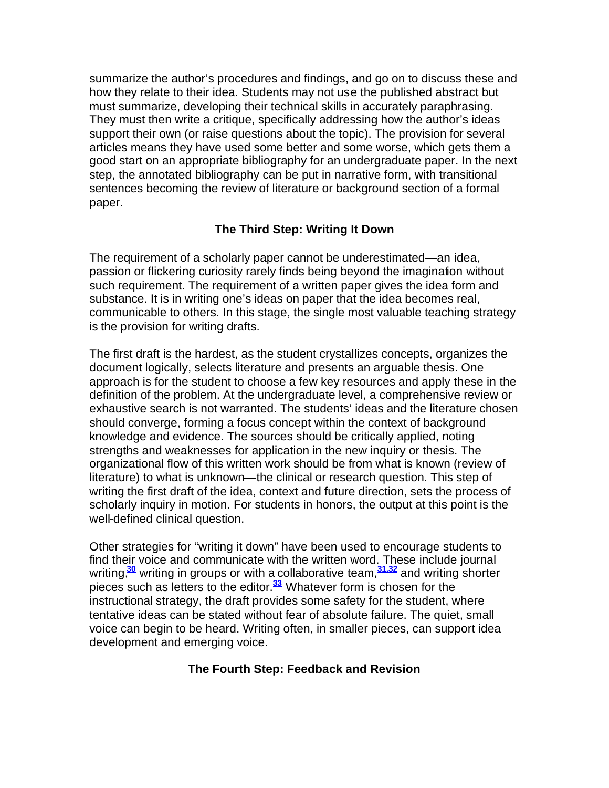summarize the author's procedures and findings, and go on to discuss these and how they relate to their idea. Students may not use the published abstract but must summarize, developing their technical skills in accurately paraphrasing. They must then write a critique, specifically addressing how the author's ideas support their own (or raise questions about the topic). The provision for several articles means they have used some better and some worse, which gets them a good start on an appropriate bibliography for an undergraduate paper. In the next step, the annotated bibliography can be put in narrative form, with transitional sentences becoming the review of literature or background section of a formal paper.

## **The Third Step: Writing It Down**

The requirement of a scholarly paper cannot be underestimated—an idea, passion or flickering curiosity rarely finds being beyond the imagination without such requirement. The requirement of a written paper gives the idea form and substance. It is in writing one's ideas on paper that the idea becomes real, communicable to others. In this stage, the single most valuable teaching strategy is the provision for writing drafts.

The first draft is the hardest, as the student crystallizes concepts, organizes the document logically, selects literature and presents an arguable thesis. One approach is for the student to choose a few key resources and apply these in the definition of the problem. At the undergraduate level, a comprehensive review or exhaustive search is not warranted. The students' ideas and the literature chosen should converge, forming a focus concept within the context of background knowledge and evidence. The sources should be critically applied, noting strengths and weaknesses for application in the new inquiry or thesis. The organizational flow of this written work should be from what is known (review of literature) to what is unknown—the clinical or research question. This step of writing the first draft of the idea, context and future direction, sets the process of scholarly inquiry in motion. For students in honors, the output at this point is the well-defined clinical question.

Other strategies for "writing it down" have been used to encourage students to find their voice and communicate with the written word. These include journal writing,**<sup>30</sup>** writing in groups or with a collaborative team,**31,32** and writing shorter pieces such as letters to the editor.**<sup>33</sup>** Whatever form is chosen for the instructional strategy, the draft provides some safety for the student, where tentative ideas can be stated without fear of absolute failure. The quiet, small voice can begin to be heard. Writing often, in smaller pieces, can support idea development and emerging voice.

## **The Fourth Step: Feedback and Revision**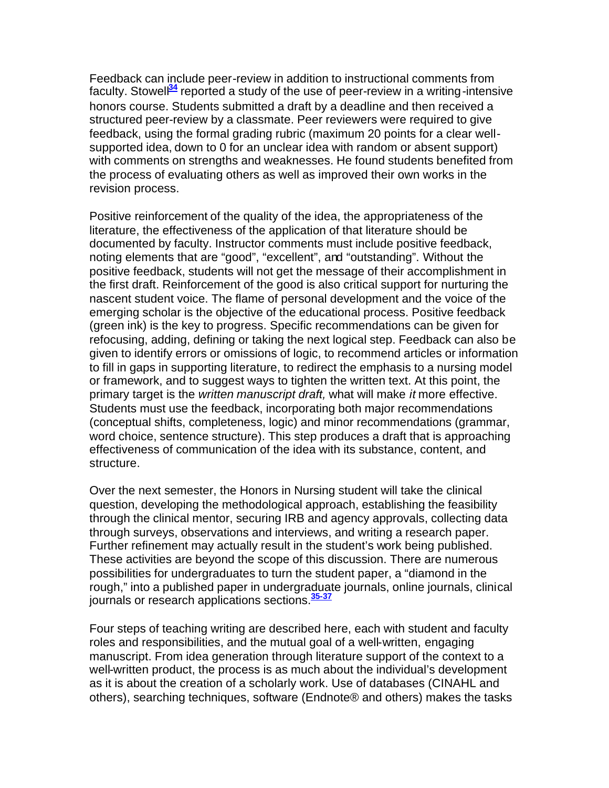Feedback can include peer-review in addition to instructional comments from faculty. Stowell<sup>34</sup> reported a study of the use of peer-review in a writing-intensive honors course. Students submitted a draft by a deadline and then received a structured peer-review by a classmate. Peer reviewers were required to give feedback, using the formal grading rubric (maximum 20 points for a clear wellsupported idea, down to 0 for an unclear idea with random or absent support) with comments on strengths and weaknesses. He found students benefited from the process of evaluating others as well as improved their own works in the revision process.

Positive reinforcement of the quality of the idea, the appropriateness of the literature, the effectiveness of the application of that literature should be documented by faculty. Instructor comments must include positive feedback, noting elements that are "good", "excellent", and "outstanding". Without the positive feedback, students will not get the message of their accomplishment in the first draft. Reinforcement of the good is also critical support for nurturing the nascent student voice. The flame of personal development and the voice of the emerging scholar is the objective of the educational process. Positive feedback (green ink) is the key to progress. Specific recommendations can be given for refocusing, adding, defining or taking the next logical step. Feedback can also be given to identify errors or omissions of logic, to recommend articles or information to fill in gaps in supporting literature, to redirect the emphasis to a nursing model or framework, and to suggest ways to tighten the written text. At this point, the primary target is the *written manuscript draft,* what will make *it* more effective. Students must use the feedback, incorporating both major recommendations (conceptual shifts, completeness, logic) and minor recommendations (grammar, word choice, sentence structure). This step produces a draft that is approaching effectiveness of communication of the idea with its substance, content, and structure.

Over the next semester, the Honors in Nursing student will take the clinical question, developing the methodological approach, establishing the feasibility through the clinical mentor, securing IRB and agency approvals, collecting data through surveys, observations and interviews, and writing a research paper. Further refinement may actually result in the student's work being published. These activities are beyond the scope of this discussion. There are numerous possibilities for undergraduates to turn the student paper, a "diamond in the rough," into a published paper in undergraduate journals, online journals, clinical journals or research applications sections.**35-37**

Four steps of teaching writing are described here, each with student and faculty roles and responsibilities, and the mutual goal of a well-written, engaging manuscript. From idea generation through literature support of the context to a well-written product, the process is as much about the individual's development as it is about the creation of a scholarly work. Use of databases (CINAHL and others), searching techniques, software (Endnote® and others) makes the tasks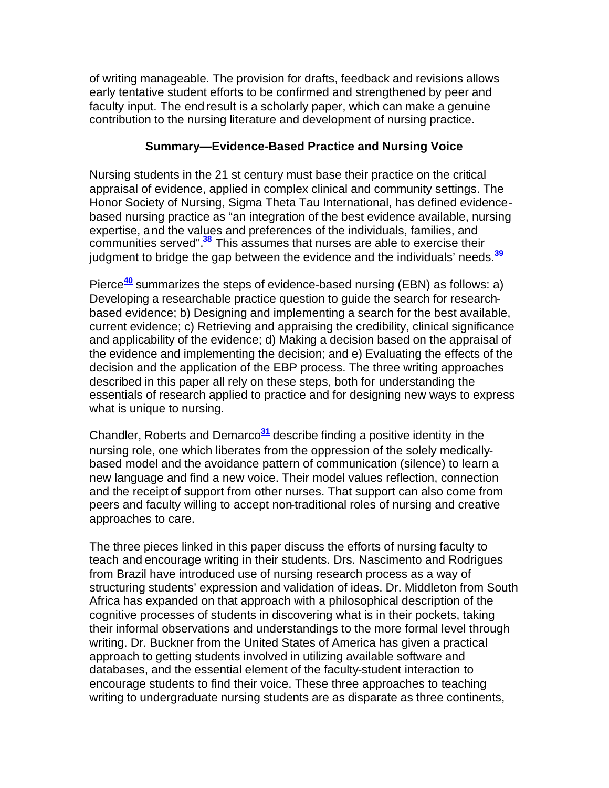of writing manageable. The provision for drafts, feedback and revisions allows early tentative student efforts to be confirmed and strengthened by peer and faculty input. The end result is a scholarly paper, which can make a genuine contribution to the nursing literature and development of nursing practice.

#### **Summary—Evidence-Based Practice and Nursing Voice**

Nursing students in the 21 st century must base their practice on the critical appraisal of evidence, applied in complex clinical and community settings. The Honor Society of Nursing, Sigma Theta Tau International, has defined evidencebased nursing practice as "an integration of the best evidence available, nursing expertise, and the values and preferences of the individuals, families, and communities served".**<sup>38</sup>** This assumes that nurses are able to exercise their judgment to bridge the gap between the evidence and the individuals' needs.**<sup>39</sup>**

Pierce**<sup>40</sup>** summarizes the steps of evidence-based nursing (EBN) as follows: a) Developing a researchable practice question to guide the search for researchbased evidence; b) Designing and implementing a search for the best available, current evidence; c) Retrieving and appraising the credibility, clinical significance and applicability of the evidence; d) Making a decision based on the appraisal of the evidence and implementing the decision; and e) Evaluating the effects of the decision and the application of the EBP process. The three writing approaches described in this paper all rely on these steps, both for understanding the essentials of research applied to practice and for designing new ways to express what is unique to nursing.

Chandler, Roberts and Demarco**<sup>31</sup>** describe finding a positive identity in the nursing role, one which liberates from the oppression of the solely medicallybased model and the avoidance pattern of communication (silence) to learn a new language and find a new voice. Their model values reflection, connection and the receipt of support from other nurses. That support can also come from peers and faculty willing to accept non-traditional roles of nursing and creative approaches to care.

The three pieces linked in this paper discuss the efforts of nursing faculty to teach and encourage writing in their students. Drs. Nascimento and Rodrigues from Brazil have introduced use of nursing research process as a way of structuring students' expression and validation of ideas. Dr. Middleton from South Africa has expanded on that approach with a philosophical description of the cognitive processes of students in discovering what is in their pockets, taking their informal observations and understandings to the more formal level through writing. Dr. Buckner from the United States of America has given a practical approach to getting students involved in utilizing available software and databases, and the essential element of the faculty-student interaction to encourage students to find their voice. These three approaches to teaching writing to undergraduate nursing students are as disparate as three continents,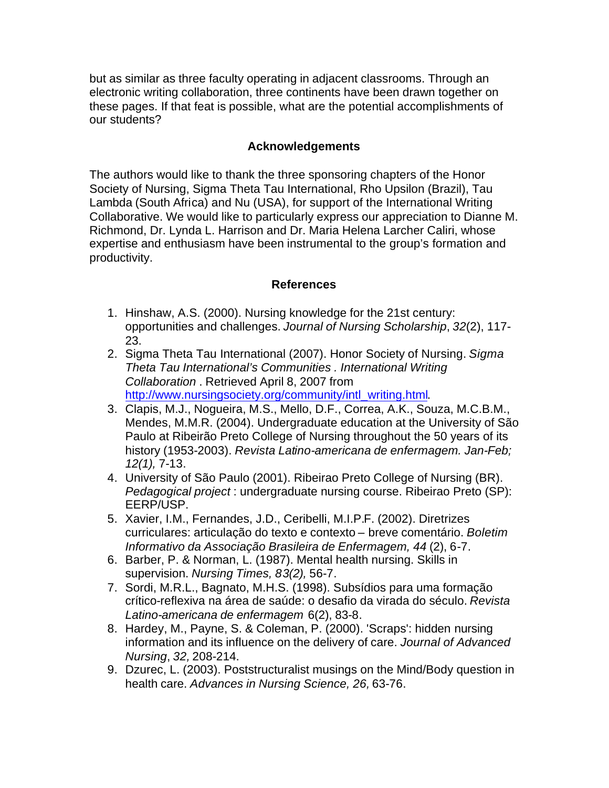but as similar as three faculty operating in adjacent classrooms. Through an electronic writing collaboration, three continents have been drawn together on these pages. If that feat is possible, what are the potential accomplishments of our students?

#### **Acknowledgements**

The authors would like to thank the three sponsoring chapters of the Honor Society of Nursing, Sigma Theta Tau International, Rho Upsilon (Brazil), Tau Lambda (South Africa) and Nu (USA), for support of the International Writing Collaborative. We would like to particularly express our appreciation to Dianne M. Richmond, Dr. Lynda L. Harrison and Dr. Maria Helena Larcher Caliri, whose expertise and enthusiasm have been instrumental to the group's formation and productivity.

#### **References**

- 1. Hinshaw, A.S. (2000). Nursing knowledge for the 21st century: opportunities and challenges. *Journal of Nursing Scholarship*, *32*(2), 117- 23.
- 2. Sigma Theta Tau International (2007). Honor Society of Nursing. *Sigma Theta Tau International's Communities . International Writing Collaboration* . Retrieved April 8, 2007 from http://www.nursingsociety.org/community/intl\_writing.html.
- 3. Clapis, M.J., Nogueira, M.S., Mello, D.F., Correa, A.K., Souza, M.C.B.M., Mendes, M.M.R. (2004). Undergraduate education at the University of São Paulo at Ribeirão Preto College of Nursing throughout the 50 years of its history (1953-2003). *Revista Latino-americana de enfermagem. Jan-Feb; 12(1),* 7-13.
- 4. University of São Paulo (2001). Ribeirao Preto College of Nursing (BR). *Pedagogical project* : undergraduate nursing course. Ribeirao Preto (SP): EERP/USP.
- 5. Xavier, I.M., Fernandes, J.D., Ceribelli, M.I.P.F. (2002). Diretrizes curriculares: articulação do texto e contexto – breve comentário. *Boletim Informativo da Associação Brasileira de Enfermagem, 44* (2), 6-7.
- 6. Barber, P. & Norman, L. (1987). Mental health nursing. Skills in supervision. *Nursing Times, 83(2),* 56-7.
- 7. Sordi, M.R.L., Bagnato, M.H.S. (1998). Subsídios para uma formação crítico-reflexiva na área de saúde: o desafio da virada do século. *Revista Latino-americana de enfermagem* 6(2), 83-8.
- 8. Hardey, M., Payne, S. & Coleman, P. (2000). 'Scraps': hidden nursing information and its influence on the delivery of care. *Journal of Advanced Nursing*, *32,* 208-214.
- 9. Dzurec, L. (2003). Poststructuralist musings on the Mind/Body question in health care. *Advances in Nursing Science, 26,* 63-76.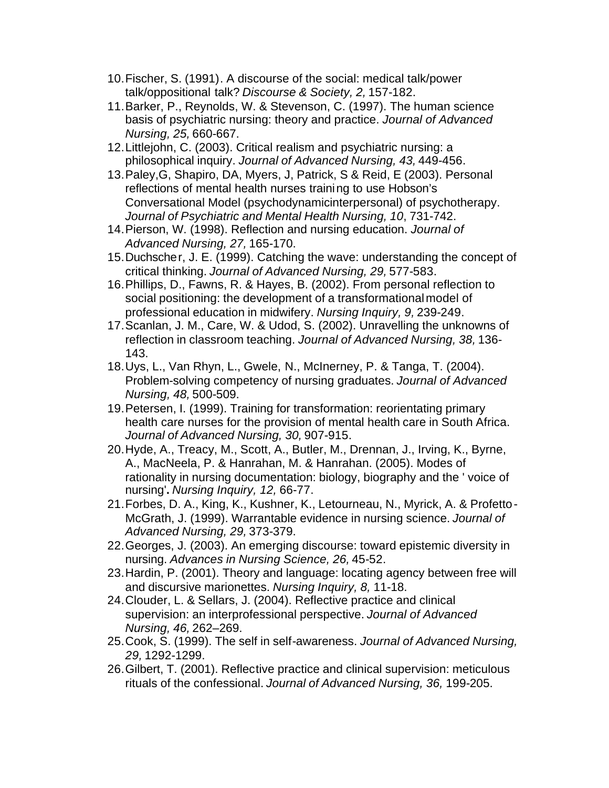- 10.Fischer, S. (1991). A discourse of the social: medical talk/power talk/oppositional talk? *Discourse & Society, 2,* 157-182.
- 11.Barker, P., Reynolds, W. & Stevenson, C. (1997). The human science basis of psychiatric nursing: theory and practice. *Journal of Advanced Nursing, 25,* 660-667.
- 12.Littlejohn, C. (2003). Critical realism and psychiatric nursing: a philosophical inquiry. *Journal of Advanced Nursing, 43,* 449-456.
- 13.Paley,G, Shapiro, DA, Myers, J, Patrick, S & Reid, E (2003). Personal reflections of mental health nurses training to use Hobson's Conversational Model (psychodynamicinterpersonal) of psychotherapy. *Journal of Psychiatric and Mental Health Nursing, 10*, 731-742.
- 14.Pierson, W. (1998). Reflection and nursing education. *Journal of Advanced Nursing, 27,* 165-170.
- 15.Duchscher, J. E. (1999). Catching the wave: understanding the concept of critical thinking. *Journal of Advanced Nursing, 29,* 577-583.
- 16.Phillips, D., Fawns, R. & Hayes, B. (2002). From personal reflection to social positioning: the development of a transformational model of professional education in midwifery. *Nursing Inquiry, 9,* 239-249.
- 17.Scanlan, J. M., Care, W. & Udod, S. (2002). Unravelling the unknowns of reflection in classroom teaching. *Journal of Advanced Nursing, 38,* 136- 143.
- 18.Uys, L., Van Rhyn, L., Gwele, N., McInerney, P. & Tanga, T. (2004). Problem-solving competency of nursing graduates. *Journal of Advanced Nursing, 48,* 500-509.
- 19.Petersen, I. (1999). Training for transformation: reorientating primary health care nurses for the provision of mental health care in South Africa. *Journal of Advanced Nursing, 30,* 907-915.
- 20.Hyde, A., Treacy, M., Scott, A., Butler, M., Drennan, J., Irving, K., Byrne, A., MacNeela, P. & Hanrahan, M. & Hanrahan. (2005). Modes of rationality in nursing documentation: biology, biography and the ' voice of nursing'**.** *Nursing Inquiry, 12,* 66-77.
- 21.Forbes, D. A., King, K., Kushner, K., Letourneau, N., Myrick, A. & Profetto-McGrath, J. (1999). Warrantable evidence in nursing science. *Journal of Advanced Nursing, 29,* 373-379.
- 22.Georges, J. (2003). An emerging discourse: toward epistemic diversity in nursing. *Advances in Nursing Science, 26,* 45-52.
- 23.Hardin, P. (2001). Theory and language: locating agency between free will and discursive marionettes. *Nursing Inquiry, 8,* 11-18.
- 24.Clouder, L. & Sellars, J. (2004). Reflective practice and clinical supervision: an interprofessional perspective. *Journal of Advanced Nursing, 46,* 262–269.
- 25.Cook, S. (1999). The self in self-awareness. *Journal of Advanced Nursing, 29,* 1292-1299.
- 26.Gilbert, T. (2001). Reflective practice and clinical supervision: meticulous rituals of the confessional. *Journal of Advanced Nursing, 36,* 199-205.